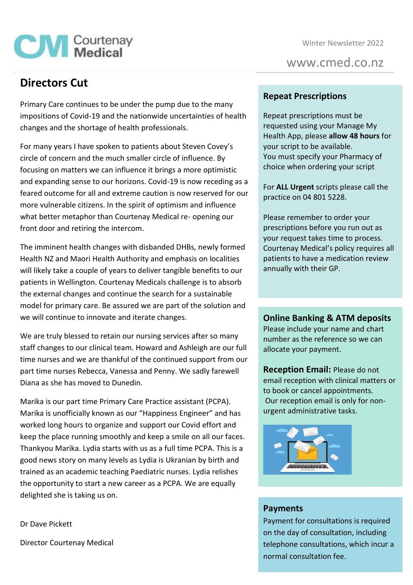Winter Newsletter 2022

www.cmed.co.nz

# **Directors Cut**

**CM** Courtenay

Primary Care continues to be under the pump due to the many impositions of Covid-19 and the nationwide uncertainties of health changes and the shortage of health professionals.

For many years I have spoken to patients about Steven Covey's circle of concern and the much smaller circle of influence. By focusing on matters we can influence it brings a more optimistic and expanding sense to our horizons. Covid-19 is now receding as a feared outcome for all and extreme caution is now reserved for our more vulnerable citizens. In the spirit of optimism and influence what better metaphor than Courtenay Medical re- opening our front door and retiring the intercom.

The imminent health changes with disbanded DHBs, newly formed Health NZ and Maori Health Authority and emphasis on localities will likely take a couple of years to deliver tangible benefits to our patients in Wellington. Courtenay Medicals challenge is to absorb the external changes and continue the search for a sustainable model for primary care. Be assured we are part of the solution and we will continue to innovate and iterate changes.

We are truly blessed to retain our nursing services after so many staff changes to our clinical team. Howard and Ashleigh are our full time nurses and we are thankful of the continued support from our part time nurses Rebecca, Vanessa and Penny. We sadly farewell Diana as she has moved to Dunedin.

Marika is our part time Primary Care Practice assistant (PCPA). Marika is unofficially known as our "Happiness Engineer" and has worked long hours to organize and support our Covid effort and keep the place running smoothly and keep a smile on all our faces. Thankyou Marika. Lydia starts with us as a full time PCPA. This is a good news story on many levels as Lydia is Ukranian by birth and trained as an academic teaching Paediatric nurses. Lydia relishes the opportunity to start a new career as a PCPA. We are equally delighted she is taking us on.

**Repeat Prescriptions**

Repeat prescriptions must be requested using your Manage My Health App, please **allow 48 hours** for your script to be available. You must specify your Pharmacy of choice when ordering your script

For **ALL Urgent** scripts please call the practice on 04 801 5228.

Please remember to order your prescriptions before you run out as your request takes time to process. Courtenay Medical's policy requires all patients to have a medication review annually with their GP.

**Online Banking & ATM deposits**

Please include your name and chart number as the reference so we can allocate your payment.

**Reception Email:** Please do not email reception with clinical matters or to book or cancel appointments. Our reception email is only for nonurgent administrative tasks.



### **Payments**

Payment for consultations is required on the day of consultation, including telephone consultations, which incur a normal consultation fee.

Dr Dave Pickett

Director Courtenay Medical